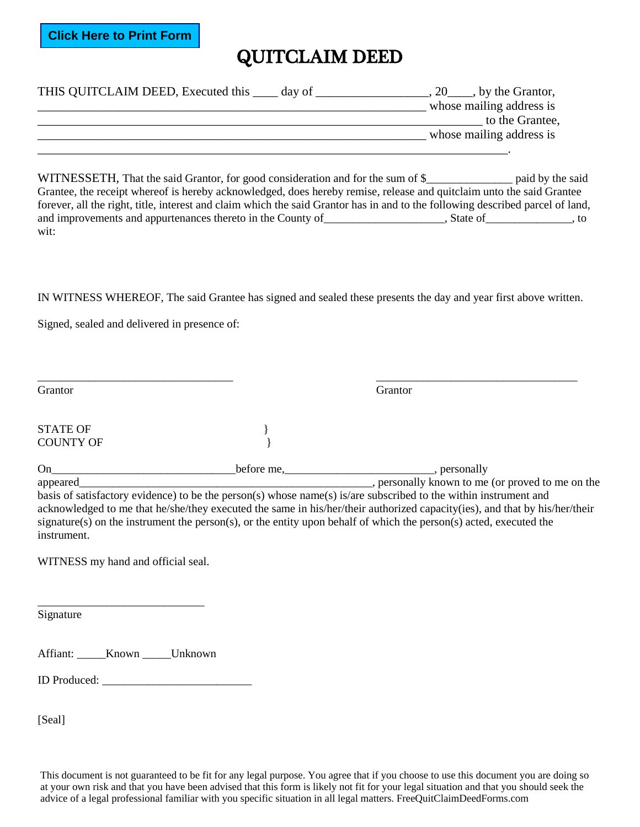**Click Here to Print Form**

## QUITCLAIM DEED

| THIS QUITCLAIM DEED, Executed this <u>early</u> day of | $, 20$ , by the Grantor, |
|--------------------------------------------------------|--------------------------|
|                                                        | whose mailing address is |
|                                                        | to the Grantee,          |
|                                                        | whose mailing address is |
|                                                        |                          |

**FREED III.** That the said Guitarce, for good consideration and for the sum of 8<br>
Whose mailing address is<br>
WHINESSETH, That the said Guitarce is breedy achieved by active tens these and quitching use the shift of the<br>
Co WITNESSETH, That the said Grantor, for good consideration and for the sum of \$ Grantee, the receipt whereof is hereby acknowledged, does hereby remise, release and quitclaim unto the said Grantee forever, all the right, title, interest and claim which the said Grantor has in and to the following described parcel of land, and improvements and appurtenances thereto in the County of \_\_\_\_\_\_\_\_\_\_\_\_\_\_\_\_\_\_, State of \_\_\_\_\_\_\_\_\_\_, to wit:

IN WITNESS WHEREOF, The said Grantee has signed and sealed these presents the day and year first above written.

\_\_\_\_\_\_\_\_\_\_\_\_\_\_\_\_\_\_\_\_\_\_\_\_\_\_\_\_\_\_\_\_\_\_ \_\_\_\_\_\_\_\_\_\_\_\_\_\_\_\_\_\_\_\_\_\_\_\_\_\_\_\_\_\_\_\_\_\_\_

Signed, sealed and delivered in presence of:

Grantor Grantor Grantor Grantor Grantor Grantor Grantor Grantor Grantor Grantor Grantor Grantor Grantor Grantor

STATE OF COUNTY OF

On\_\_\_\_\_\_\_\_\_\_\_\_\_\_\_\_\_\_\_\_\_\_\_\_\_\_\_\_\_\_\_\_before me,\_\_\_\_\_\_\_\_\_\_\_\_\_\_\_\_\_\_\_\_\_\_\_\_\_\_, personally appeared\_\_\_\_\_\_\_\_\_\_\_\_\_\_\_\_\_\_\_\_\_\_\_\_\_\_\_\_\_\_\_\_\_\_\_\_\_\_\_\_\_\_\_\_\_\_\_\_\_\_\_, personally known to me (or proved to me on the

basis of satisfactory evidence) to be the person(s) whose name(s) is/are subscribed to the within instrument and acknowledged to me that he/she/they executed the same in his/her/their authorized capacity(ies), and that by his/her/their signature(s) on the instrument the person(s), or the entity upon behalf of which the person(s) acted, executed the instrument.

WITNESS my hand and official seal.

 $\frac{1}{2}$  ,  $\frac{1}{2}$  ,  $\frac{1}{2}$  ,  $\frac{1}{2}$  ,  $\frac{1}{2}$  ,  $\frac{1}{2}$  ,  $\frac{1}{2}$  ,  $\frac{1}{2}$  ,  $\frac{1}{2}$  ,  $\frac{1}{2}$ 

Signature

Affiant: **\_\_\_\_\_Known** \_\_\_\_\_Unknown

ID Produced: \_\_\_\_\_\_\_\_\_\_\_\_\_\_\_\_\_\_\_\_\_\_\_\_\_\_

[Seal]

This document is not guaranteed to be fit for any legal purpose. You agree that if you choose to use this document you are doing so at your own risk and that you have been advised that this form is likely not fit for your legal situation and that you should seek the advice of a legal professional familiar with you specific situation in all legal matters. FreeQuitClaimDeedForms.com